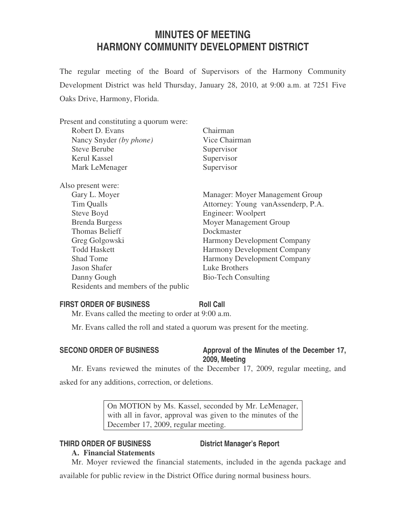# **MINUTES OF MEETING HARMONY COMMUNITY DEVELOPMENT DISTRICT**

The regular meeting of the Board of Supervisors of the Harmony Community Development District was held Thursday, January 28, 2010, at 9:00 a.m. at 7251 Five Oaks Drive, Harmony, Florida.

| Chairman                           |
|------------------------------------|
| Vice Chairman                      |
| Supervisor                         |
| Supervisor                         |
| Supervisor                         |
|                                    |
| Manager: Moyer Management Group    |
| Attorney: Young vanAssenderp, P.A. |
| Engineer: Woolpert                 |
| Moyer Management Group             |
| Dockmaster                         |
| <b>Harmony Development Company</b> |
| Harmony Development Company        |
| Harmony Development Company        |
| Luke Brothers                      |
| <b>Bio-Tech Consulting</b>         |
|                                    |
|                                    |

# **FIRST ORDER OF BUSINESS Roll Call**

Mr. Evans called the meeting to order at 9:00 a.m.

Mr. Evans called the roll and stated a quorum was present for the meeting.

# SECOND ORDER OF BUSINESS Approval of the Minutes of the December 17,

# **2009, Meeting**

Mr. Evans reviewed the minutes of the December 17, 2009, regular meeting, and asked for any additions, correction, or deletions.

> On MOTION by Ms. Kassel, seconded by Mr. LeMenager, with all in favor, approval was given to the minutes of the December 17, 2009, regular meeting.

# **THIRD ORDER OF BUSINESS District Manager's Report**

# **A. Financial Statements**

Mr. Moyer reviewed the financial statements, included in the agenda package and available for public review in the District Office during normal business hours.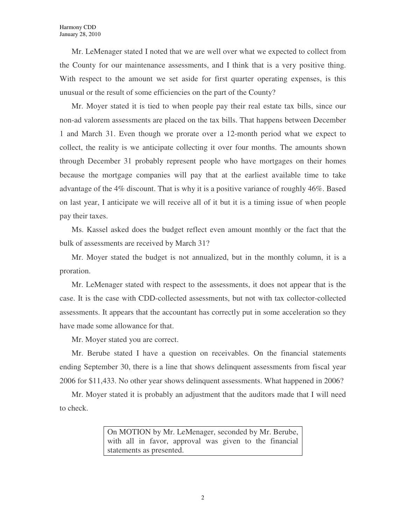Mr. LeMenager stated I noted that we are well over what we expected to collect from the County for our maintenance assessments, and I think that is a very positive thing. With respect to the amount we set aside for first quarter operating expenses, is this unusual or the result of some efficiencies on the part of the County?

Mr. Moyer stated it is tied to when people pay their real estate tax bills, since our non-ad valorem assessments are placed on the tax bills. That happens between December 1 and March 31. Even though we prorate over a 12-month period what we expect to collect, the reality is we anticipate collecting it over four months. The amounts shown through December 31 probably represent people who have mortgages on their homes because the mortgage companies will pay that at the earliest available time to take advantage of the 4% discount. That is why it is a positive variance of roughly 46%. Based on last year, I anticipate we will receive all of it but it is a timing issue of when people pay their taxes.

Ms. Kassel asked does the budget reflect even amount monthly or the fact that the bulk of assessments are received by March 31?

Mr. Moyer stated the budget is not annualized, but in the monthly column, it is a proration.

Mr. LeMenager stated with respect to the assessments, it does not appear that is the case. It is the case with CDD-collected assessments, but not with tax collector-collected assessments. It appears that the accountant has correctly put in some acceleration so they have made some allowance for that.

Mr. Moyer stated you are correct.

Mr. Berube stated I have a question on receivables. On the financial statements ending September 30, there is a line that shows delinquent assessments from fiscal year 2006 for \$11,433. No other year shows delinquent assessments. What happened in 2006?

Mr. Moyer stated it is probably an adjustment that the auditors made that I will need to check.

> On MOTION by Mr. LeMenager, seconded by Mr. Berube, with all in favor, approval was given to the financial statements as presented.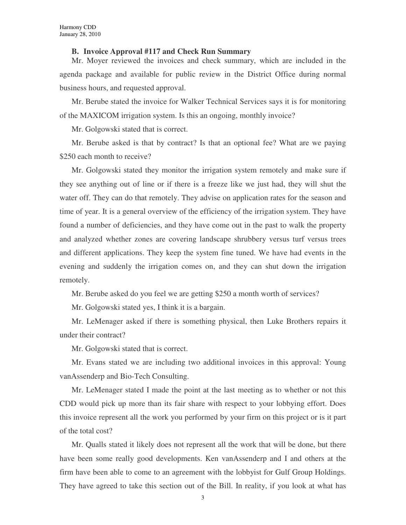### **B. Invoice Approval #117 and Check Run Summary**

Mr. Moyer reviewed the invoices and check summary, which are included in the agenda package and available for public review in the District Office during normal business hours, and requested approval.

Mr. Berube stated the invoice for Walker Technical Services says it is for monitoring of the MAXICOM irrigation system. Is this an ongoing, monthly invoice?

Mr. Golgowski stated that is correct.

Mr. Berube asked is that by contract? Is that an optional fee? What are we paying \$250 each month to receive?

Mr. Golgowski stated they monitor the irrigation system remotely and make sure if they see anything out of line or if there is a freeze like we just had, they will shut the water off. They can do that remotely. They advise on application rates for the season and time of year. It is a general overview of the efficiency of the irrigation system. They have found a number of deficiencies, and they have come out in the past to walk the property and analyzed whether zones are covering landscape shrubbery versus turf versus trees and different applications. They keep the system fine tuned. We have had events in the evening and suddenly the irrigation comes on, and they can shut down the irrigation remotely.

Mr. Berube asked do you feel we are getting \$250 a month worth of services?

Mr. Golgowski stated yes, I think it is a bargain.

Mr. LeMenager asked if there is something physical, then Luke Brothers repairs it under their contract?

Mr. Golgowski stated that is correct.

Mr. Evans stated we are including two additional invoices in this approval: Young vanAssenderp and Bio-Tech Consulting.

Mr. LeMenager stated I made the point at the last meeting as to whether or not this CDD would pick up more than its fair share with respect to your lobbying effort. Does this invoice represent all the work you performed by your firm on this project or is it part of the total cost?

Mr. Qualls stated it likely does not represent all the work that will be done, but there have been some really good developments. Ken vanAssenderp and I and others at the firm have been able to come to an agreement with the lobbyist for Gulf Group Holdings. They have agreed to take this section out of the Bill. In reality, if you look at what has

3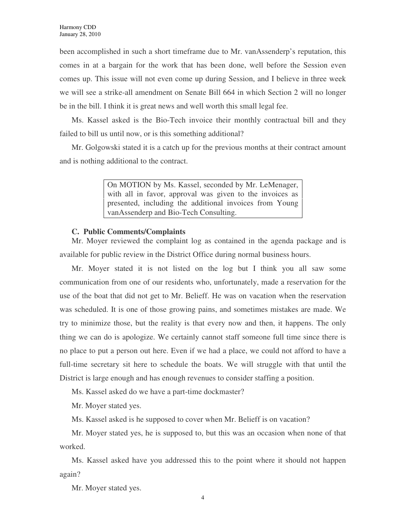been accomplished in such a short timeframe due to Mr. vanAssenderp's reputation, this comes in at a bargain for the work that has been done, well before the Session even comes up. This issue will not even come up during Session, and I believe in three week we will see a strike-all amendment on Senate Bill 664 in which Section 2 will no longer be in the bill. I think it is great news and well worth this small legal fee.

Ms. Kassel asked is the Bio-Tech invoice their monthly contractual bill and they failed to bill us until now, or is this something additional?

Mr. Golgowski stated it is a catch up for the previous months at their contract amount and is nothing additional to the contract.

> On MOTION by Ms. Kassel, seconded by Mr. LeMenager, with all in favor, approval was given to the invoices as presented, including the additional invoices from Young vanAssenderp and Bio-Tech Consulting.

### **C. Public Comments/Complaints**

Mr. Moyer reviewed the complaint log as contained in the agenda package and is available for public review in the District Office during normal business hours.

Mr. Moyer stated it is not listed on the log but I think you all saw some communication from one of our residents who, unfortunately, made a reservation for the use of the boat that did not get to Mr. Belieff. He was on vacation when the reservation was scheduled. It is one of those growing pains, and sometimes mistakes are made. We try to minimize those, but the reality is that every now and then, it happens. The only thing we can do is apologize. We certainly cannot staff someone full time since there is no place to put a person out here. Even if we had a place, we could not afford to have a full-time secretary sit here to schedule the boats. We will struggle with that until the District is large enough and has enough revenues to consider staffing a position.

Ms. Kassel asked do we have a part-time dockmaster?

Mr. Moyer stated yes.

Ms. Kassel asked is he supposed to cover when Mr. Belieff is on vacation?

Mr. Moyer stated yes, he is supposed to, but this was an occasion when none of that worked.

Ms. Kassel asked have you addressed this to the point where it should not happen again?

Mr. Moyer stated yes.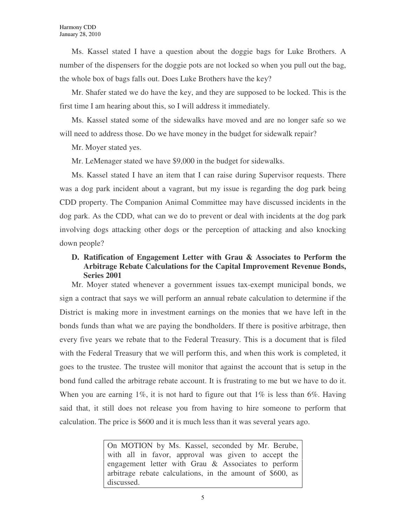Ms. Kassel stated I have a question about the doggie bags for Luke Brothers. A number of the dispensers for the doggie pots are not locked so when you pull out the bag, the whole box of bags falls out. Does Luke Brothers have the key?

Mr. Shafer stated we do have the key, and they are supposed to be locked. This is the first time I am hearing about this, so I will address it immediately.

Ms. Kassel stated some of the sidewalks have moved and are no longer safe so we will need to address those. Do we have money in the budget for sidewalk repair?

Mr. Moyer stated yes.

Mr. LeMenager stated we have \$9,000 in the budget for sidewalks.

Ms. Kassel stated I have an item that I can raise during Supervisor requests. There was a dog park incident about a vagrant, but my issue is regarding the dog park being CDD property. The Companion Animal Committee may have discussed incidents in the dog park. As the CDD, what can we do to prevent or deal with incidents at the dog park involving dogs attacking other dogs or the perception of attacking and also knocking down people?

# **D. Ratification of Engagement Letter with Grau & Associates to Perform the Arbitrage Rebate Calculations for the Capital Improvement Revenue Bonds, Series 2001**

Mr. Moyer stated whenever a government issues tax-exempt municipal bonds, we sign a contract that says we will perform an annual rebate calculation to determine if the District is making more in investment earnings on the monies that we have left in the bonds funds than what we are paying the bondholders. If there is positive arbitrage, then every five years we rebate that to the Federal Treasury. This is a document that is filed with the Federal Treasury that we will perform this, and when this work is completed, it goes to the trustee. The trustee will monitor that against the account that is setup in the bond fund called the arbitrage rebate account. It is frustrating to me but we have to do it. When you are earning  $1\%$ , it is not hard to figure out that  $1\%$  is less than 6%. Having said that, it still does not release you from having to hire someone to perform that calculation. The price is \$600 and it is much less than it was several years ago.

> On MOTION by Ms. Kassel, seconded by Mr. Berube, with all in favor, approval was given to accept the engagement letter with Grau & Associates to perform arbitrage rebate calculations, in the amount of \$600, as discussed.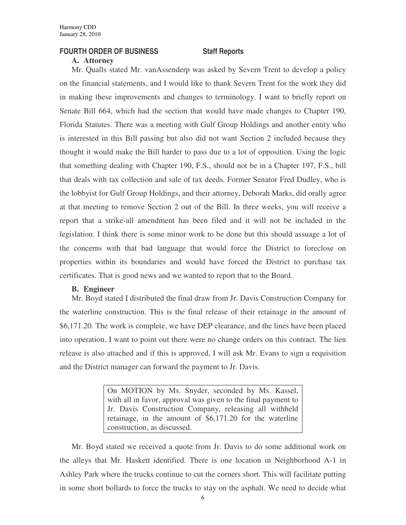# **FOURTH ORDER OF BUSINESS Staff Reports**

# **A. Attorney**

Mr. Qualls stated Mr. vanAssenderp was asked by Severn Trent to develop a policy on the financial statements, and I would like to thank Severn Trent for the work they did in making these improvements and changes to terminology. I want to briefly report on Senate Bill 664, which had the section that would have made changes to Chapter 190, Florida Statutes. There was a meeting with Gulf Group Holdings and another entity who is interested in this Bill passing but also did not want Section 2 included because they thought it would make the Bill harder to pass due to a lot of opposition. Using the logic that something dealing with Chapter 190, F.S., should not be in a Chapter 197, F.S., bill that deals with tax collection and sale of tax deeds. Former Senator Fred Dudley, who is the lobbyist for Gulf Group Holdings, and their attorney, Deborah Marks, did orally agree at that meeting to remove Section 2 out of the Bill. In three weeks, you will receive a report that a strike-all amendment has been filed and it will not be included in the legislation. I think there is some minor work to be done but this should assuage a lot of the concerns with that bad language that would force the District to foreclose on properties within its boundaries and would have forced the District to purchase tax certificates. That is good news and we wanted to report that to the Board.

# **B. Engineer**

Mr. Boyd stated I distributed the final draw from Jr. Davis Construction Company for the waterline construction. This is the final release of their retainage in the amount of \$6,171.20. The work is complete, we have DEP clearance, and the lines have been placed into operation. I want to point out there were no change orders on this contract. The lien release is also attached and if this is approved, I will ask Mr. Evans to sign a requisition and the District manager can forward the payment to Jr. Davis.

> On MOTION by Ms. Snyder, seconded by Ms. Kassel, with all in favor, approval was given to the final payment to Jr. Davis Construction Company, releasing all withheld retainage, in the amount of \$6,171.20 for the waterline construction, as discussed.

Mr. Boyd stated we received a quote from Jr. Davis to do some additional work on the alleys that Mr. Haskett identified. There is one location in Neighborhood A-1 in Ashley Park where the trucks continue to cut the corners short. This will facilitate putting in some short bollards to force the trucks to stay on the asphalt. We need to decide what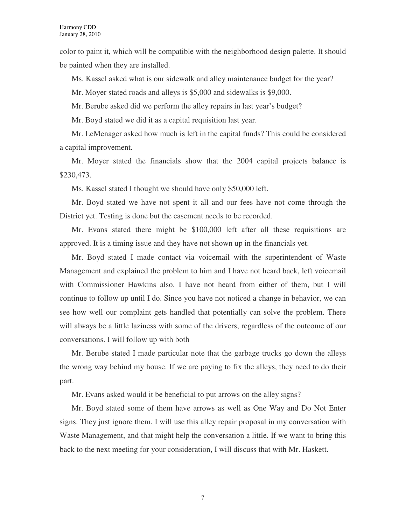color to paint it, which will be compatible with the neighborhood design palette. It should be painted when they are installed.

Ms. Kassel asked what is our sidewalk and alley maintenance budget for the year?

Mr. Moyer stated roads and alleys is \$5,000 and sidewalks is \$9,000.

Mr. Berube asked did we perform the alley repairs in last year's budget?

Mr. Boyd stated we did it as a capital requisition last year.

Mr. LeMenager asked how much is left in the capital funds? This could be considered a capital improvement.

Mr. Moyer stated the financials show that the 2004 capital projects balance is \$230,473.

Ms. Kassel stated I thought we should have only \$50,000 left.

Mr. Boyd stated we have not spent it all and our fees have not come through the District yet. Testing is done but the easement needs to be recorded.

Mr. Evans stated there might be \$100,000 left after all these requisitions are approved. It is a timing issue and they have not shown up in the financials yet.

Mr. Boyd stated I made contact via voicemail with the superintendent of Waste Management and explained the problem to him and I have not heard back, left voicemail with Commissioner Hawkins also. I have not heard from either of them, but I will continue to follow up until I do. Since you have not noticed a change in behavior, we can see how well our complaint gets handled that potentially can solve the problem. There will always be a little laziness with some of the drivers, regardless of the outcome of our conversations. I will follow up with both

Mr. Berube stated I made particular note that the garbage trucks go down the alleys the wrong way behind my house. If we are paying to fix the alleys, they need to do their part.

Mr. Evans asked would it be beneficial to put arrows on the alley signs?

Mr. Boyd stated some of them have arrows as well as One Way and Do Not Enter signs. They just ignore them. I will use this alley repair proposal in my conversation with Waste Management, and that might help the conversation a little. If we want to bring this back to the next meeting for your consideration, I will discuss that with Mr. Haskett.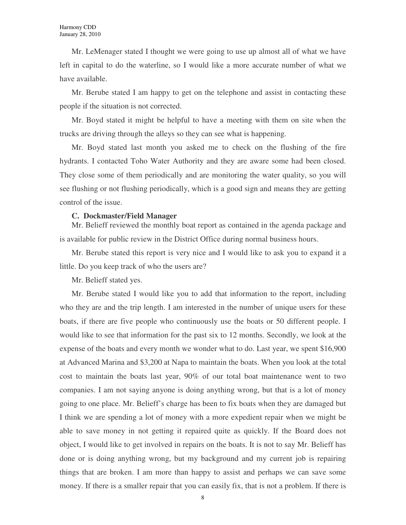Mr. LeMenager stated I thought we were going to use up almost all of what we have left in capital to do the waterline, so I would like a more accurate number of what we have available.

Mr. Berube stated I am happy to get on the telephone and assist in contacting these people if the situation is not corrected.

Mr. Boyd stated it might be helpful to have a meeting with them on site when the trucks are driving through the alleys so they can see what is happening.

Mr. Boyd stated last month you asked me to check on the flushing of the fire hydrants. I contacted Toho Water Authority and they are aware some had been closed. They close some of them periodically and are monitoring the water quality, so you will see flushing or not flushing periodically, which is a good sign and means they are getting control of the issue.

### **C. Dockmaster/Field Manager**

Mr. Belieff reviewed the monthly boat report as contained in the agenda package and is available for public review in the District Office during normal business hours.

Mr. Berube stated this report is very nice and I would like to ask you to expand it a little. Do you keep track of who the users are?

Mr. Belieff stated yes.

Mr. Berube stated I would like you to add that information to the report, including who they are and the trip length. I am interested in the number of unique users for these boats, if there are five people who continuously use the boats or 50 different people. I would like to see that information for the past six to 12 months. Secondly, we look at the expense of the boats and every month we wonder what to do. Last year, we spent \$16,900 at Advanced Marina and \$3,200 at Napa to maintain the boats. When you look at the total cost to maintain the boats last year, 90% of our total boat maintenance went to two companies. I am not saying anyone is doing anything wrong, but that is a lot of money going to one place. Mr. Belieff's charge has been to fix boats when they are damaged but I think we are spending a lot of money with a more expedient repair when we might be able to save money in not getting it repaired quite as quickly. If the Board does not object, I would like to get involved in repairs on the boats. It is not to say Mr. Belieff has done or is doing anything wrong, but my background and my current job is repairing things that are broken. I am more than happy to assist and perhaps we can save some money. If there is a smaller repair that you can easily fix, that is not a problem. If there is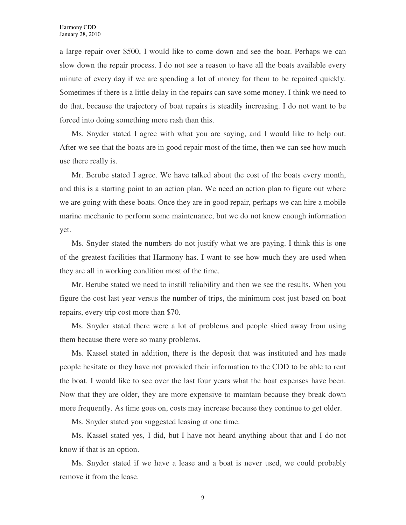a large repair over \$500, I would like to come down and see the boat. Perhaps we can slow down the repair process. I do not see a reason to have all the boats available every minute of every day if we are spending a lot of money for them to be repaired quickly. Sometimes if there is a little delay in the repairs can save some money. I think we need to do that, because the trajectory of boat repairs is steadily increasing. I do not want to be forced into doing something more rash than this.

Ms. Snyder stated I agree with what you are saying, and I would like to help out. After we see that the boats are in good repair most of the time, then we can see how much use there really is.

Mr. Berube stated I agree. We have talked about the cost of the boats every month, and this is a starting point to an action plan. We need an action plan to figure out where we are going with these boats. Once they are in good repair, perhaps we can hire a mobile marine mechanic to perform some maintenance, but we do not know enough information yet.

Ms. Snyder stated the numbers do not justify what we are paying. I think this is one of the greatest facilities that Harmony has. I want to see how much they are used when they are all in working condition most of the time.

Mr. Berube stated we need to instill reliability and then we see the results. When you figure the cost last year versus the number of trips, the minimum cost just based on boat repairs, every trip cost more than \$70.

Ms. Snyder stated there were a lot of problems and people shied away from using them because there were so many problems.

Ms. Kassel stated in addition, there is the deposit that was instituted and has made people hesitate or they have not provided their information to the CDD to be able to rent the boat. I would like to see over the last four years what the boat expenses have been. Now that they are older, they are more expensive to maintain because they break down more frequently. As time goes on, costs may increase because they continue to get older.

Ms. Snyder stated you suggested leasing at one time.

Ms. Kassel stated yes, I did, but I have not heard anything about that and I do not know if that is an option.

Ms. Snyder stated if we have a lease and a boat is never used, we could probably remove it from the lease.

9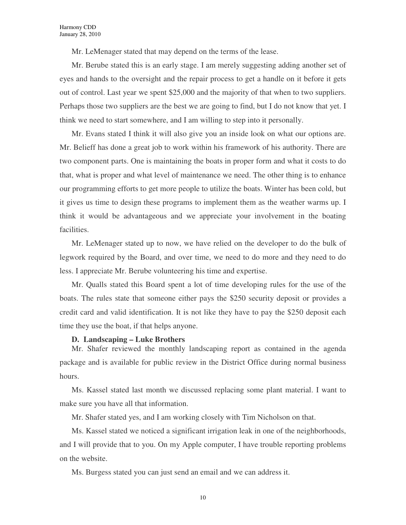Mr. LeMenager stated that may depend on the terms of the lease.

Mr. Berube stated this is an early stage. I am merely suggesting adding another set of eyes and hands to the oversight and the repair process to get a handle on it before it gets out of control. Last year we spent \$25,000 and the majority of that when to two suppliers. Perhaps those two suppliers are the best we are going to find, but I do not know that yet. I think we need to start somewhere, and I am willing to step into it personally.

Mr. Evans stated I think it will also give you an inside look on what our options are. Mr. Belieff has done a great job to work within his framework of his authority. There are two component parts. One is maintaining the boats in proper form and what it costs to do that, what is proper and what level of maintenance we need. The other thing is to enhance our programming efforts to get more people to utilize the boats. Winter has been cold, but it gives us time to design these programs to implement them as the weather warms up. I think it would be advantageous and we appreciate your involvement in the boating facilities.

Mr. LeMenager stated up to now, we have relied on the developer to do the bulk of legwork required by the Board, and over time, we need to do more and they need to do less. I appreciate Mr. Berube volunteering his time and expertise.

Mr. Qualls stated this Board spent a lot of time developing rules for the use of the boats. The rules state that someone either pays the \$250 security deposit or provides a credit card and valid identification. It is not like they have to pay the \$250 deposit each time they use the boat, if that helps anyone.

### **D. Landscaping – Luke Brothers**

Mr. Shafer reviewed the monthly landscaping report as contained in the agenda package and is available for public review in the District Office during normal business hours.

Ms. Kassel stated last month we discussed replacing some plant material. I want to make sure you have all that information.

Mr. Shafer stated yes, and I am working closely with Tim Nicholson on that.

Ms. Kassel stated we noticed a significant irrigation leak in one of the neighborhoods, and I will provide that to you. On my Apple computer, I have trouble reporting problems on the website.

Ms. Burgess stated you can just send an email and we can address it.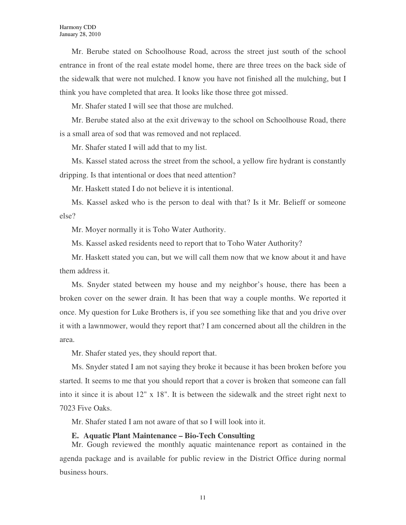Mr. Berube stated on Schoolhouse Road, across the street just south of the school entrance in front of the real estate model home, there are three trees on the back side of the sidewalk that were not mulched. I know you have not finished all the mulching, but I think you have completed that area. It looks like those three got missed.

Mr. Shafer stated I will see that those are mulched.

Mr. Berube stated also at the exit driveway to the school on Schoolhouse Road, there is a small area of sod that was removed and not replaced.

Mr. Shafer stated I will add that to my list.

Ms. Kassel stated across the street from the school, a yellow fire hydrant is constantly dripping. Is that intentional or does that need attention?

Mr. Haskett stated I do not believe it is intentional.

Ms. Kassel asked who is the person to deal with that? Is it Mr. Belieff or someone else?

Mr. Moyer normally it is Toho Water Authority.

Ms. Kassel asked residents need to report that to Toho Water Authority?

Mr. Haskett stated you can, but we will call them now that we know about it and have them address it.

Ms. Snyder stated between my house and my neighbor's house, there has been a broken cover on the sewer drain. It has been that way a couple months. We reported it once. My question for Luke Brothers is, if you see something like that and you drive over it with a lawnmower, would they report that? I am concerned about all the children in the area.

Mr. Shafer stated yes, they should report that.

Ms. Snyder stated I am not saying they broke it because it has been broken before you started. It seems to me that you should report that a cover is broken that someone can fall into it since it is about 12" x 18". It is between the sidewalk and the street right next to 7023 Five Oaks.

Mr. Shafer stated I am not aware of that so I will look into it.

### **E. Aquatic Plant Maintenance – Bio-Tech Consulting**

Mr. Gough reviewed the monthly aquatic maintenance report as contained in the agenda package and is available for public review in the District Office during normal business hours.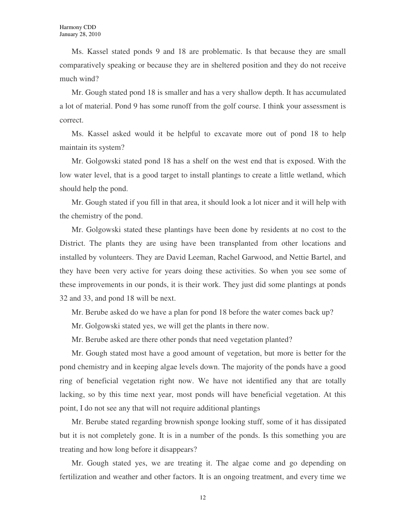Ms. Kassel stated ponds 9 and 18 are problematic. Is that because they are small comparatively speaking or because they are in sheltered position and they do not receive much wind?

Mr. Gough stated pond 18 is smaller and has a very shallow depth. It has accumulated a lot of material. Pond 9 has some runoff from the golf course. I think your assessment is correct.

Ms. Kassel asked would it be helpful to excavate more out of pond 18 to help maintain its system?

Mr. Golgowski stated pond 18 has a shelf on the west end that is exposed. With the low water level, that is a good target to install plantings to create a little wetland, which should help the pond.

Mr. Gough stated if you fill in that area, it should look a lot nicer and it will help with the chemistry of the pond.

Mr. Golgowski stated these plantings have been done by residents at no cost to the District. The plants they are using have been transplanted from other locations and installed by volunteers. They are David Leeman, Rachel Garwood, and Nettie Bartel, and they have been very active for years doing these activities. So when you see some of these improvements in our ponds, it is their work. They just did some plantings at ponds 32 and 33, and pond 18 will be next.

Mr. Berube asked do we have a plan for pond 18 before the water comes back up?

Mr. Golgowski stated yes, we will get the plants in there now.

Mr. Berube asked are there other ponds that need vegetation planted?

Mr. Gough stated most have a good amount of vegetation, but more is better for the pond chemistry and in keeping algae levels down. The majority of the ponds have a good ring of beneficial vegetation right now. We have not identified any that are totally lacking, so by this time next year, most ponds will have beneficial vegetation. At this point, I do not see any that will not require additional plantings

Mr. Berube stated regarding brownish sponge looking stuff, some of it has dissipated but it is not completely gone. It is in a number of the ponds. Is this something you are treating and how long before it disappears?

Mr. Gough stated yes, we are treating it. The algae come and go depending on fertilization and weather and other factors. It is an ongoing treatment, and every time we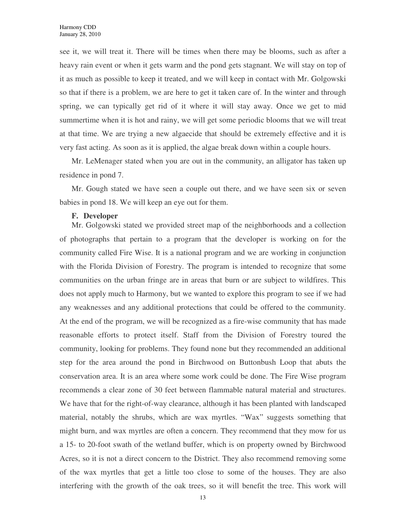see it, we will treat it. There will be times when there may be blooms, such as after a heavy rain event or when it gets warm and the pond gets stagnant. We will stay on top of it as much as possible to keep it treated, and we will keep in contact with Mr. Golgowski so that if there is a problem, we are here to get it taken care of. In the winter and through spring, we can typically get rid of it where it will stay away. Once we get to mid summertime when it is hot and rainy, we will get some periodic blooms that we will treat at that time. We are trying a new algaecide that should be extremely effective and it is very fast acting. As soon as it is applied, the algae break down within a couple hours.

Mr. LeMenager stated when you are out in the community, an alligator has taken up residence in pond 7.

Mr. Gough stated we have seen a couple out there, and we have seen six or seven babies in pond 18. We will keep an eye out for them.

### **F. Developer**

Mr. Golgowski stated we provided street map of the neighborhoods and a collection of photographs that pertain to a program that the developer is working on for the community called Fire Wise. It is a national program and we are working in conjunction with the Florida Division of Forestry. The program is intended to recognize that some communities on the urban fringe are in areas that burn or are subject to wildfires. This does not apply much to Harmony, but we wanted to explore this program to see if we had any weaknesses and any additional protections that could be offered to the community. At the end of the program, we will be recognized as a fire-wise community that has made reasonable efforts to protect itself. Staff from the Division of Forestry toured the community, looking for problems. They found none but they recommended an additional step for the area around the pond in Birchwood on Buttonbush Loop that abuts the conservation area. It is an area where some work could be done. The Fire Wise program recommends a clear zone of 30 feet between flammable natural material and structures. We have that for the right-of-way clearance, although it has been planted with landscaped material, notably the shrubs, which are wax myrtles. "Wax" suggests something that might burn, and wax myrtles are often a concern. They recommend that they mow for us a 15- to 20-foot swath of the wetland buffer, which is on property owned by Birchwood Acres, so it is not a direct concern to the District. They also recommend removing some of the wax myrtles that get a little too close to some of the houses. They are also interfering with the growth of the oak trees, so it will benefit the tree. This work will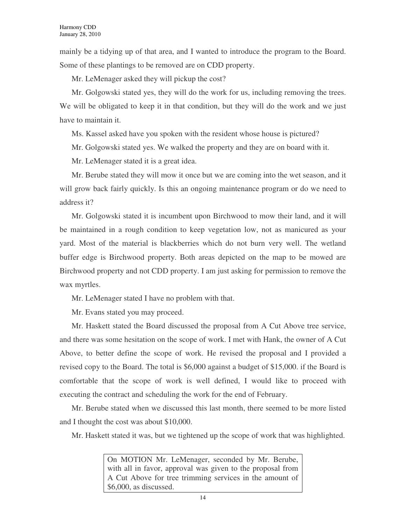mainly be a tidying up of that area, and I wanted to introduce the program to the Board. Some of these plantings to be removed are on CDD property.

Mr. LeMenager asked they will pickup the cost?

Mr. Golgowski stated yes, they will do the work for us, including removing the trees. We will be obligated to keep it in that condition, but they will do the work and we just have to maintain it.

Ms. Kassel asked have you spoken with the resident whose house is pictured?

Mr. Golgowski stated yes. We walked the property and they are on board with it.

Mr. LeMenager stated it is a great idea.

Mr. Berube stated they will mow it once but we are coming into the wet season, and it will grow back fairly quickly. Is this an ongoing maintenance program or do we need to address it?

Mr. Golgowski stated it is incumbent upon Birchwood to mow their land, and it will be maintained in a rough condition to keep vegetation low, not as manicured as your yard. Most of the material is blackberries which do not burn very well. The wetland buffer edge is Birchwood property. Both areas depicted on the map to be mowed are Birchwood property and not CDD property. I am just asking for permission to remove the wax myrtles.

Mr. LeMenager stated I have no problem with that.

Mr. Evans stated you may proceed.

Mr. Haskett stated the Board discussed the proposal from A Cut Above tree service, and there was some hesitation on the scope of work. I met with Hank, the owner of A Cut Above, to better define the scope of work. He revised the proposal and I provided a revised copy to the Board. The total is \$6,000 against a budget of \$15,000. if the Board is comfortable that the scope of work is well defined, I would like to proceed with executing the contract and scheduling the work for the end of February.

Mr. Berube stated when we discussed this last month, there seemed to be more listed and I thought the cost was about \$10,000.

Mr. Haskett stated it was, but we tightened up the scope of work that was highlighted.

On MOTION Mr. LeMenager, seconded by Mr. Berube, with all in favor, approval was given to the proposal from A Cut Above for tree trimming services in the amount of \$6,000, as discussed.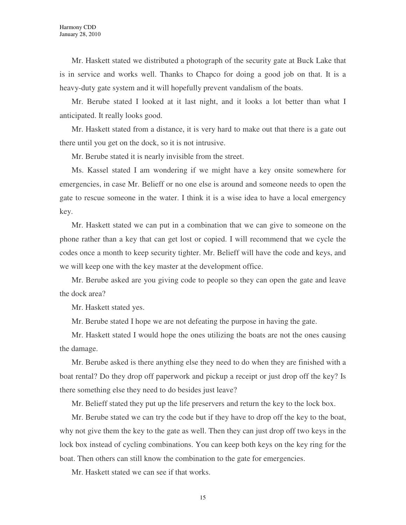Mr. Haskett stated we distributed a photograph of the security gate at Buck Lake that is in service and works well. Thanks to Chapco for doing a good job on that. It is a heavy-duty gate system and it will hopefully prevent vandalism of the boats.

Mr. Berube stated I looked at it last night, and it looks a lot better than what I anticipated. It really looks good.

Mr. Haskett stated from a distance, it is very hard to make out that there is a gate out there until you get on the dock, so it is not intrusive.

Mr. Berube stated it is nearly invisible from the street.

Ms. Kassel stated I am wondering if we might have a key onsite somewhere for emergencies, in case Mr. Belieff or no one else is around and someone needs to open the gate to rescue someone in the water. I think it is a wise idea to have a local emergency key.

Mr. Haskett stated we can put in a combination that we can give to someone on the phone rather than a key that can get lost or copied. I will recommend that we cycle the codes once a month to keep security tighter. Mr. Belieff will have the code and keys, and we will keep one with the key master at the development office.

Mr. Berube asked are you giving code to people so they can open the gate and leave the dock area?

Mr. Haskett stated yes.

Mr. Berube stated I hope we are not defeating the purpose in having the gate.

Mr. Haskett stated I would hope the ones utilizing the boats are not the ones causing the damage.

Mr. Berube asked is there anything else they need to do when they are finished with a boat rental? Do they drop off paperwork and pickup a receipt or just drop off the key? Is there something else they need to do besides just leave?

Mr. Belieff stated they put up the life preservers and return the key to the lock box.

Mr. Berube stated we can try the code but if they have to drop off the key to the boat, why not give them the key to the gate as well. Then they can just drop off two keys in the lock box instead of cycling combinations. You can keep both keys on the key ring for the boat. Then others can still know the combination to the gate for emergencies.

Mr. Haskett stated we can see if that works.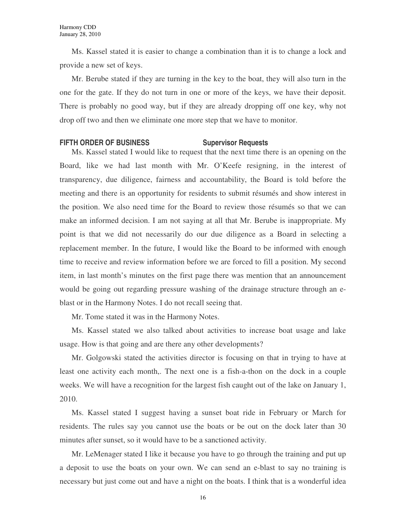Ms. Kassel stated it is easier to change a combination than it is to change a lock and provide a new set of keys.

Mr. Berube stated if they are turning in the key to the boat, they will also turn in the one for the gate. If they do not turn in one or more of the keys, we have their deposit. There is probably no good way, but if they are already dropping off one key, why not drop off two and then we eliminate one more step that we have to monitor.

# **FIFTH ORDER OF BUSINESS Supervisor Requests**

Ms. Kassel stated I would like to request that the next time there is an opening on the Board, like we had last month with Mr. O'Keefe resigning, in the interest of transparency, due diligence, fairness and accountability, the Board is told before the meeting and there is an opportunity for residents to submit résumés and show interest in the position. We also need time for the Board to review those résumés so that we can make an informed decision. I am not saying at all that Mr. Berube is inappropriate. My point is that we did not necessarily do our due diligence as a Board in selecting a replacement member. In the future, I would like the Board to be informed with enough time to receive and review information before we are forced to fill a position. My second item, in last month's minutes on the first page there was mention that an announcement would be going out regarding pressure washing of the drainage structure through an eblast or in the Harmony Notes. I do not recall seeing that.

Mr. Tome stated it was in the Harmony Notes.

Ms. Kassel stated we also talked about activities to increase boat usage and lake usage. How is that going and are there any other developments?

Mr. Golgowski stated the activities director is focusing on that in trying to have at least one activity each month,. The next one is a fish-a-thon on the dock in a couple weeks. We will have a recognition for the largest fish caught out of the lake on January 1, 2010.

Ms. Kassel stated I suggest having a sunset boat ride in February or March for residents. The rules say you cannot use the boats or be out on the dock later than 30 minutes after sunset, so it would have to be a sanctioned activity.

Mr. LeMenager stated I like it because you have to go through the training and put up a deposit to use the boats on your own. We can send an e-blast to say no training is necessary but just come out and have a night on the boats. I think that is a wonderful idea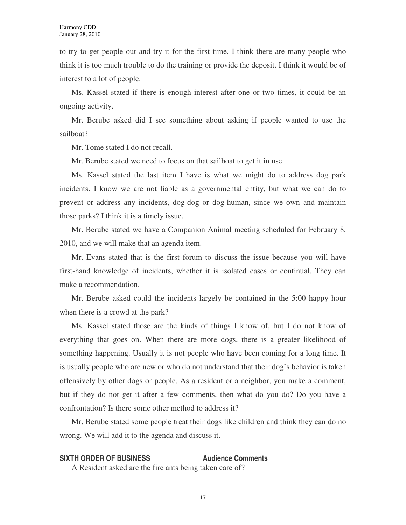to try to get people out and try it for the first time. I think there are many people who think it is too much trouble to do the training or provide the deposit. I think it would be of interest to a lot of people.

Ms. Kassel stated if there is enough interest after one or two times, it could be an ongoing activity.

Mr. Berube asked did I see something about asking if people wanted to use the sailboat?

Mr. Tome stated I do not recall.

Mr. Berube stated we need to focus on that sailboat to get it in use.

Ms. Kassel stated the last item I have is what we might do to address dog park incidents. I know we are not liable as a governmental entity, but what we can do to prevent or address any incidents, dog-dog or dog-human, since we own and maintain those parks? I think it is a timely issue.

Mr. Berube stated we have a Companion Animal meeting scheduled for February 8, 2010, and we will make that an agenda item.

Mr. Evans stated that is the first forum to discuss the issue because you will have first-hand knowledge of incidents, whether it is isolated cases or continual. They can make a recommendation.

Mr. Berube asked could the incidents largely be contained in the 5:00 happy hour when there is a crowd at the park?

Ms. Kassel stated those are the kinds of things I know of, but I do not know of everything that goes on. When there are more dogs, there is a greater likelihood of something happening. Usually it is not people who have been coming for a long time. It is usually people who are new or who do not understand that their dog's behavior is taken offensively by other dogs or people. As a resident or a neighbor, you make a comment, but if they do not get it after a few comments, then what do you do? Do you have a confrontation? Is there some other method to address it?

Mr. Berube stated some people treat their dogs like children and think they can do no wrong. We will add it to the agenda and discuss it.

# **SIXTH ORDER OF BUSINESS Audience Comments**

A Resident asked are the fire ants being taken care of?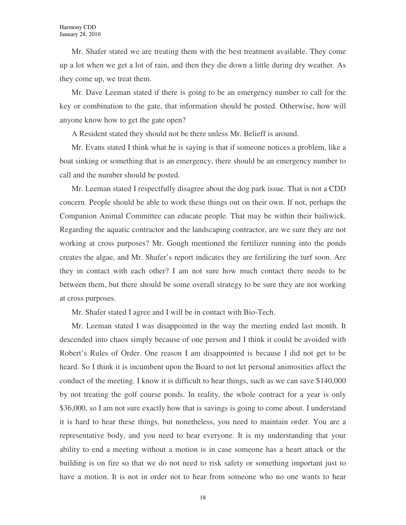Mr. Shafer stated we are treating them with the best treatment available. They come up a lot when we get a lot of rain, and then they die down a little during dry weather. As they come up, we treat them.

Mr. Dave Leeman stated if there is going to be an emergency number to call for the key or combination to the gate, that information should be posted. Otherwise, how will anyone know how to get the gate open?

A Resident stated they should not be there unless Mr. Belieff is around.

Mr. Evans stated I think what he is saying is that if someone notices a problem, like a boat sinking or something that is an emergency, there should be an emergency number to call and the number should be posted.

Mr. Leeman stated I respectfully disagree about the dog park issue. That is not a CDD concern. People should be able to work these things out on their own. If not, perhaps the Companion Animal Committee can educate people. That may be within their bailiwick. Regarding the aquatic contractor and the landscaping contractor, are we sure they are not working at cross purposes? Mr. Gough mentioned the fertilizer running into the ponds creates the algae, and Mr. Shafer's report indicates they are fertilizing the turf soon. Are they in contact with each other? I am not sure how much contact there needs to be between them, but there should be some overall strategy to be sure they are not working at cross purposes.

Mr. Shafer stated I agree and I will be in contact with Bio-Tech.

Mr. Leeman stated I was disappointed in the way the meeting ended last month. It descended into chaos simply because of one person and I think it could be avoided with Robert's Rules of Order. One reason I am disappointed is because I did not get to be heard. So I think it is incumbent upon the Board to not let personal animosities affect the conduct of the meeting. I know it is difficult to hear things, such as we can save \$140,000 by not treating the golf course ponds. In reality, the whole contract for a year is only \$36,000, so I am not sure exactly how that is savings is going to come about. I understand it is hard to hear these things, but nonetheless, you need to maintain order. You are a representative body, and you need to hear everyone. It is my understanding that your ability to end a meeting without a motion is in case someone has a heart attack or the building is on fire so that we do not need to risk safety or something important just to have a motion. It is not in order not to hear from someone who no one wants to hear